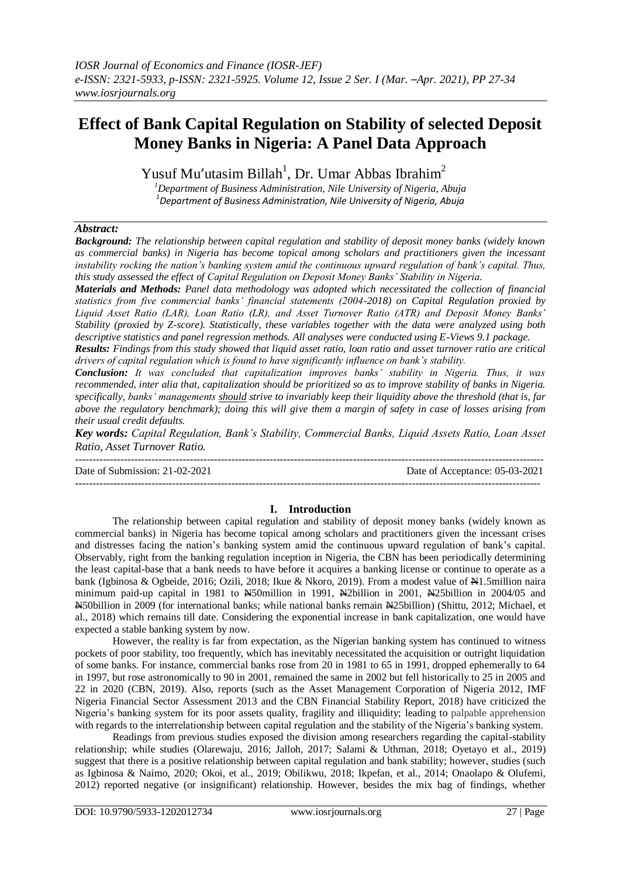# **Effect of Bank Capital Regulation on Stability of selected Deposit Money Banks in Nigeria: A Panel Data Approach**

Yusuf Mu'utasim Billah<sup>1</sup>, Dr. Umar Abbas Ibrahim<sup>2</sup>

*<sup>1</sup>Department of Business Administration, Nile University of Nigeria, Abuja 1 Department of Business Administration, Nile University of Nigeria, Abuja*

## *Abstract:*

*Background: The relationship between capital regulation and stability of deposit money banks (widely known as commercial banks) in Nigeria has become topical among scholars and practitioners given the incessant instability rocking the nation's banking system amid the continuous upward regulation of bank's capital. Thus, this study assessed the effect of Capital Regulation on Deposit Money Banks' Stability in Nigeria.* 

*Materials and Methods: Panel data methodology was adopted which necessitated the collection of financial statistics from five commercial banks' financial statements (2004-2018) on Capital Regulation proxied by Liquid Asset Ratio (LAR), Loan Ratio (LR), and Asset Turnover Ratio (ATR) and Deposit Money Banks' Stability (proxied by Z-score). Statistically, these variables together with the data were analyzed using both descriptive statistics and panel regression methods. All analyses were conducted using E-Views 9.1 package.* 

*Results: Findings from this study showed that liquid asset ratio, loan ratio and asset turnover ratio are critical drivers of capital regulation which is found to have significantly influence on bank's stability.* 

*Conclusion: It was concluded that capitalization improves banks' stability in Nigeria. Thus, it was recommended, inter alia that, capitalization should be prioritized so as to improve stability of banks in Nigeria. specifically, banks' managements should strive to invariably keep their liquidity above the threshold (that is, far above the regulatory benchmark); doing this will give them a margin of safety in case of losses arising from their usual credit defaults.*

*Key words: Capital Regulation, Bank's Stability, Commercial Banks, Liquid Assets Ratio, Loan Asset Ratio, Asset Turnover Ratio.*

--------------------------------------------------------------------------------------------------------------------------------------- Date of Submission: 21-02-2021 Date of Acceptance: 05-03-2021 --------------------------------------------------------------------------------------------------------------------------------------

#### **I. Introduction**

The relationship between capital regulation and stability of deposit money banks (widely known as commercial banks) in Nigeria has become topical among scholars and practitioners given the incessant crises and distresses facing the nation's banking system amid the continuous upward regulation of bank's capital. Observably, right from the banking regulation inception in Nigeria, the CBN has been periodically determining the least capital-base that a bank needs to have before it acquires a banking license or continue to operate as a bank (Igbinosa & Ogbeide, 2016; Ozili, 2018; Ikue & Nkoro, 2019). From a modest value of  $\mathbb{H}1.5$ million naira minimum paid-up capital in 1981 to  $\cancel{N}$ 50million in 1991,  $\cancel{N}$ 2billion in 2001,  $\cancel{N}$ 25billion in 2004/05 and N50billion in 2009 (for international banks; while national banks remain N25billion) (Shittu, 2012; Michael, et al., 2018) which remains till date. Considering the exponential increase in bank capitalization, one would have expected a stable banking system by now.

However, the reality is far from expectation, as the Nigerian banking system has continued to witness pockets of poor stability, too frequently, which has inevitably necessitated the acquisition or outright liquidation of some banks. For instance, commercial banks rose from 20 in 1981 to 65 in 1991, dropped ephemerally to 64 in 1997, but rose astronomically to 90 in 2001, remained the same in 2002 but fell historically to 25 in 2005 and 22 in 2020 (CBN, 2019). Also, reports (such as the Asset Management Corporation of Nigeria 2012, IMF Nigeria Financial Sector Assessment 2013 and the CBN Financial Stability Report, 2018) have criticized the Nigeria's banking system for its poor assets quality, fragility and illiquidity; leading to palpable apprehension with regards to the interrelationship between capital regulation and the stability of the Nigeria's banking system.

Readings from previous studies exposed the division among researchers regarding the capital-stability relationship; while studies (Olarewaju, 2016; Jalloh, 2017; Salami & Uthman, 2018; Oyetayo et al., 2019) suggest that there is a positive relationship between capital regulation and bank stability; however, studies (such as Igbinosa & Naimo, 2020; Okoi, et al., 2019; Obilikwu, 2018; Ikpefan, et al., 2014; Onaolapo & Olufemi, 2012) reported negative (or insignificant) relationship. However, besides the mix bag of findings, whether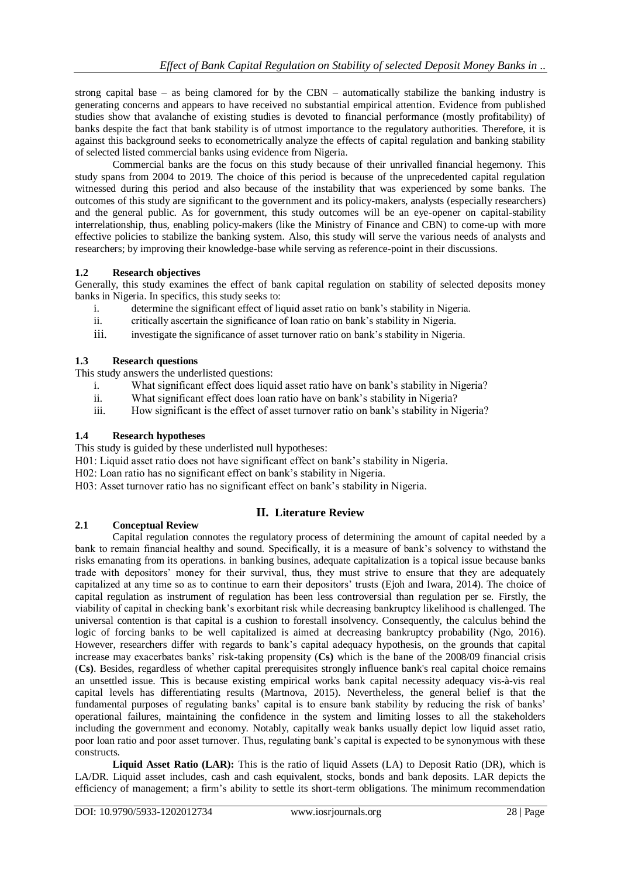strong capital base – as being clamored for by the CBN – automatically stabilize the banking industry is generating concerns and appears to have received no substantial empirical attention. Evidence from published studies show that avalanche of existing studies is devoted to financial performance (mostly profitability) of banks despite the fact that bank stability is of utmost importance to the regulatory authorities. Therefore, it is against this background seeks to econometrically analyze the effects of capital regulation and banking stability of selected listed commercial banks using evidence from Nigeria.

Commercial banks are the focus on this study because of their unrivalled financial hegemony. This study spans from 2004 to 2019. The choice of this period is because of the unprecedented capital regulation witnessed during this period and also because of the instability that was experienced by some banks. The outcomes of this study are significant to the government and its policy-makers, analysts (especially researchers) and the general public. As for government, this study outcomes will be an eye-opener on capital-stability interrelationship, thus, enabling policy-makers (like the Ministry of Finance and CBN) to come-up with more effective policies to stabilize the banking system. Also, this study will serve the various needs of analysts and researchers; by improving their knowledge-base while serving as reference-point in their discussions.

# **1.2 Research objectives**

Generally, this study examines the effect of bank capital regulation on stability of selected deposits money banks in Nigeria. In specifics, this study seeks to:

- i. determine the significant effect of liquid asset ratio on bank's stability in Nigeria.
- ii. critically ascertain the significance of loan ratio on bank's stability in Nigeria.
- iii. investigate the significance of asset turnover ratio on bank's stability in Nigeria.

# **1.3 Research questions**

This study answers the underlisted questions:

- i. What significant effect does liquid asset ratio have on bank's stability in Nigeria?
- ii. What significant effect does loan ratio have on bank's stability in Nigeria?
- iii. How significant is the effect of asset turnover ratio on bank's stability in Nigeria?

## **1.4 Research hypotheses**

This study is guided by these underlisted null hypotheses:

- H01: Liquid asset ratio does not have significant effect on bank's stability in Nigeria.
- H02: Loan ratio has no significant effect on bank's stability in Nigeria.
- H03: Asset turnover ratio has no significant effect on bank's stability in Nigeria.

# **II. Literature Review**

## **2.1 Conceptual Review**

Capital regulation connotes the regulatory process of determining the amount of capital needed by a bank to remain financial healthy and sound. Specifically, it is a measure of bank's solvency to withstand the risks emanating from its operations. in banking busines, adequate capitalization is a topical issue because banks trade with depositors' money for their survival, thus, they must strive to ensure that they are adequately capitalized at any time so as to continue to earn their depositors' trusts (Ejoh and Iwara, 2014). The choice of capital regulation as instrument of regulation has been less controversial than regulation per se. Firstly, the viability of capital in checking bank's exorbitant risk while decreasing bankruptcy likelihood is challenged. The universal contention is that capital is a cushion to forestall insolvency. Consequently, the calculus behind the logic of forcing banks to be well capitalized is aimed at decreasing bankruptcy probability (Ngo, 2016). However, researchers differ with regards to bank's capital adequacy hypothesis, on the grounds that capital increase may exacerbates banks' risk-taking propensity (**Cs)** which is the bane of the 2008/09 financial crisis (**Cs)**. Besides, regardless of whether capital prerequisites strongly influence bank's real capital choice remains an unsettled issue. This is because existing empirical works bank capital necessity adequacy vis-à-vis real capital levels has differentiating results (Martnova, 2015). Nevertheless, the general belief is that the fundamental purposes of regulating banks' capital is to ensure bank stability by reducing the risk of banks' operational failures, maintaining the confidence in the system and limiting losses to all the stakeholders including the government and economy. Notably, capitally weak banks usually depict low liquid asset ratio, poor loan ratio and poor asset turnover. Thus, regulating bank's capital is expected to be synonymous with these constructs.

**Liquid Asset Ratio (LAR):** This is the ratio of liquid Assets (LA) to Deposit Ratio (DR), which is LA/DR. Liquid asset includes, cash and cash equivalent, stocks, bonds and bank deposits. LAR depicts the efficiency of management; a firm's ability to settle its short-term obligations. The minimum recommendation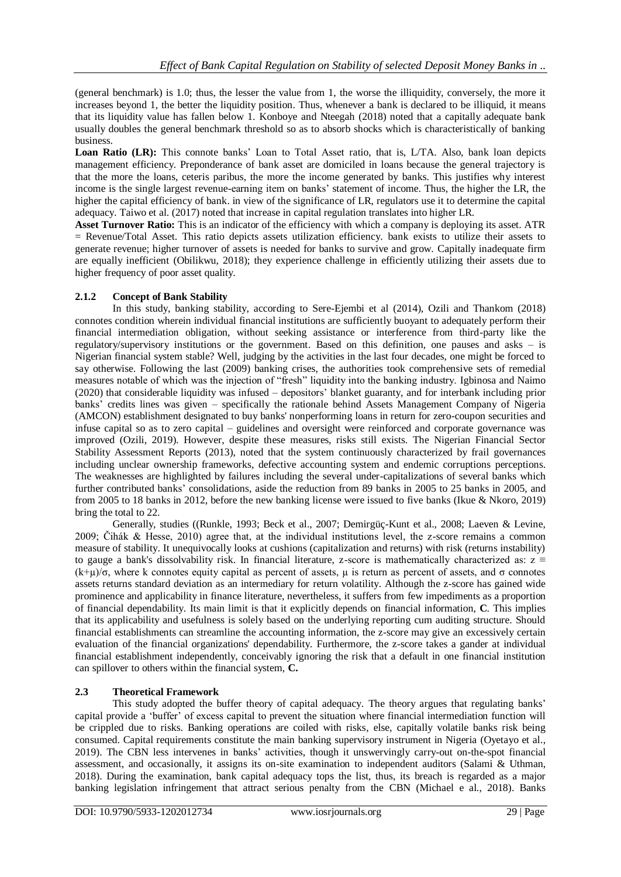(general benchmark) is 1.0; thus, the lesser the value from 1, the worse the illiquidity, conversely, the more it increases beyond 1, the better the liquidity position. Thus, whenever a bank is declared to be illiquid, it means that its liquidity value has fallen below 1. Konboye and Nteegah (2018) noted that a capitally adequate bank usually doubles the general benchmark threshold so as to absorb shocks which is characteristically of banking business.

Loan Ratio (LR): This connote banks' Loan to Total Asset ratio, that is, L/TA. Also, bank loan depicts management efficiency. Preponderance of bank asset are domiciled in loans because the general trajectory is that the more the loans, ceteris paribus, the more the income generated by banks. This justifies why interest income is the single largest revenue-earning item on banks' statement of income. Thus, the higher the LR, the higher the capital efficiency of bank. in view of the significance of LR, regulators use it to determine the capital adequacy. Taiwo et al. (2017) noted that increase in capital regulation translates into higher LR.

**Asset Turnover Ratio:** This is an indicator of the efficiency with which a company is deploying its asset. ATR  $=$  Revenue/Total Asset. This ratio depicts assets utilization efficiency, bank exists to utilize their assets to generate revenue; higher turnover of assets is needed for banks to survive and grow. Capitally inadequate firm are equally inefficient (Obilikwu, 2018); they experience challenge in efficiently utilizing their assets due to higher frequency of poor asset quality.

# **2.1.2 Concept of Bank Stability**

In this study, banking stability, according to Sere-Ejembi et al (2014), Ozili and Thankom (2018) connotes condition wherein individual financial institutions are sufficiently buoyant to adequately perform their financial intermediation obligation, without seeking assistance or interference from third-party like the regulatory/supervisory institutions or the government. Based on this definition, one pauses and asks – is Nigerian financial system stable? Well, judging by the activities in the last four decades, one might be forced to say otherwise. Following the last (2009) banking crises, the authorities took comprehensive sets of remedial measures notable of which was the injection of "fresh" liquidity into the banking industry. Igbinosa and Naimo (2020) that considerable liquidity was infused – depositors' blanket guaranty, and for interbank including prior banks' credits lines was given – specifically the rationale behind Assets Management Company of Nigeria (AMCON) establishment designated to buy banks' nonperforming loans in return for zero-coupon securities and infuse capital so as to zero capital – guidelines and oversight were reinforced and corporate governance was improved (Ozili, 2019). However, despite these measures, risks still exists. The Nigerian Financial Sector Stability Assessment Reports (2013), noted that the system continuously characterized by frail governances including unclear ownership frameworks, defective accounting system and endemic corruptions perceptions. The weaknesses are highlighted by failures including the several under-capitalizations of several banks which further contributed banks' consolidations, aside the reduction from 89 banks in 2005 to 25 banks in 2005, and from 2005 to 18 banks in 2012, before the new banking license were issued to five banks (Ikue & Nkoro, 2019) bring the total to 22.

Generally, studies ((Runkle, 1993; Beck et al., 2007; Demirgüç-Kunt et al., 2008; Laeven & Levine, 2009; Čihák & Hesse, 2010) agree that, at the individual institutions level, the z-score remains a common measure of stability. It unequivocally looks at cushions (capitalization and returns) with risk (returns instability) to gauge a bank's dissolvability risk. In financial literature, z-score is mathematically characterized as:  $z \equiv$  $(k+\mu)/\sigma$ , where k connotes equity capital as percent of assets,  $\mu$  is return as percent of assets, and  $\sigma$  connotes assets returns standard deviation as an intermediary for return volatility. Although the z-score has gained wide prominence and applicability in finance literature, nevertheless, it suffers from few impediments as a proportion of financial dependability. Its main limit is that it explicitly depends on financial information, **C**. This implies that its applicability and usefulness is solely based on the underlying reporting cum auditing structure. Should financial establishments can streamline the accounting information, the z-score may give an excessively certain evaluation of the financial organizations' dependability. Furthermore, the z-score takes a gander at individual financial establishment independently, conceivably ignoring the risk that a default in one financial institution can spillover to others within the financial system, **C.**

## **2.3 Theoretical Framework**

This study adopted the buffer theory of capital adequacy. The theory argues that regulating banks' capital provide a 'buffer' of excess capital to prevent the situation where financial intermediation function will be crippled due to risks. Banking operations are coiled with risks, else, capitally volatile banks risk being consumed. Capital requirements constitute the main banking supervisory instrument in Nigeria (Oyetayo et al., 2019). The CBN less intervenes in banks' activities, though it unswervingly carry-out on-the-spot financial assessment, and occasionally, it assigns its on-site examination to independent auditors (Salami & Uthman, 2018). During the examination, bank capital adequacy tops the list, thus, its breach is regarded as a major banking legislation infringement that attract serious penalty from the CBN (Michael e al., 2018). Banks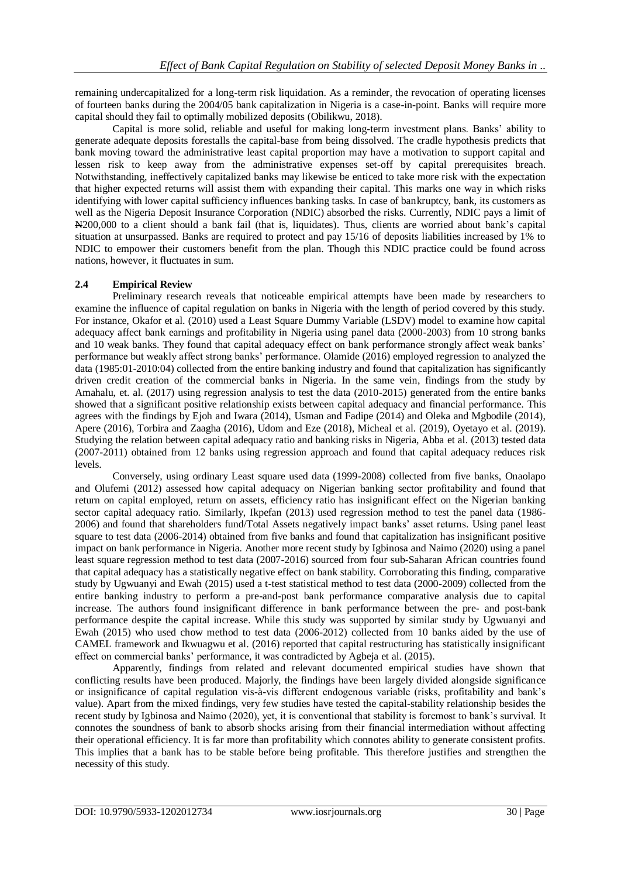remaining undercapitalized for a long-term risk liquidation. As a reminder, the revocation of operating licenses of fourteen banks during the 2004/05 bank capitalization in Nigeria is a case-in-point. Banks will require more capital should they fail to optimally mobilized deposits (Obilikwu, 2018).

Capital is more solid, reliable and useful for making long-term investment plans. Banks' ability to generate adequate deposits forestalls the capital-base from being dissolved. The cradle hypothesis predicts that bank moving toward the administrative least capital proportion may have a motivation to support capital and lessen risk to keep away from the administrative expenses set-off by capital prerequisites breach. Notwithstanding, ineffectively capitalized banks may likewise be enticed to take more risk with the expectation that higher expected returns will assist them with expanding their capital. This marks one way in which risks identifying with lower capital sufficiency influences banking tasks. In case of bankruptcy, bank, its customers as well as the Nigeria Deposit Insurance Corporation (NDIC) absorbed the risks. Currently, NDIC pays a limit of N200,000 to a client should a bank fail (that is, liquidates). Thus, clients are worried about bank's capital situation at unsurpassed. Banks are required to protect and pay 15/16 of deposits liabilities increased by 1% to NDIC to empower their customers benefit from the plan. Though this NDIC practice could be found across nations, however, it fluctuates in sum.

#### **2.4 Empirical Review**

Preliminary research reveals that noticeable empirical attempts have been made by researchers to examine the influence of capital regulation on banks in Nigeria with the length of period covered by this study. For instance, Okafor et al. (2010) used a Least Square Dummy Variable (LSDV) model to examine how capital adequacy affect bank earnings and profitability in Nigeria using panel data (2000-2003) from 10 strong banks and 10 weak banks. They found that capital adequacy effect on bank performance strongly affect weak banks' performance but weakly affect strong banks' performance. Olamide (2016) employed regression to analyzed the data (1985:01-2010:04) collected from the entire banking industry and found that capitalization has significantly driven credit creation of the commercial banks in Nigeria. In the same vein, findings from the study by Amahalu, et. al. (2017) using regression analysis to test the data (2010-2015) generated from the entire banks showed that a significant positive relationship exists between capital adequacy and financial performance. This agrees with the findings by Ejoh and Iwara (2014), Usman and Fadipe (2014) and Oleka and Mgbodile (2014), Apere (2016), Torbira and Zaagha (2016), Udom and Eze (2018), Micheal et al. (2019), Oyetayo et al. (2019). Studying the relation between capital adequacy ratio and banking risks in Nigeria, Abba et al. (2013) tested data (2007-2011) obtained from 12 banks using regression approach and found that capital adequacy reduces risk levels.

Conversely, using ordinary Least square used data (1999-2008) collected from five banks, Onaolapo and Olufemi (2012) assessed how capital adequacy on Nigerian banking sector profitability and found that return on capital employed, return on assets, efficiency ratio has insignificant effect on the Nigerian banking sector capital adequacy ratio. Similarly, Ikpefan (2013) used regression method to test the panel data (1986- 2006) and found that shareholders fund/Total Assets negatively impact banks' asset returns. Using panel least square to test data (2006-2014) obtained from five banks and found that capitalization has insignificant positive impact on bank performance in Nigeria. Another more recent study by Igbinosa and Naimo (2020) using a panel least square regression method to test data (2007-2016) sourced from four sub-Saharan African countries found that capital adequacy has a statistically negative effect on bank stability. Corroborating this finding, comparative study by Ugwuanyi and Ewah (2015) used a t-test statistical method to test data (2000-2009) collected from the entire banking industry to perform a pre-and-post bank performance comparative analysis due to capital increase. The authors found insignificant difference in bank performance between the pre- and post-bank performance despite the capital increase. While this study was supported by similar study by Ugwuanyi and Ewah (2015) who used chow method to test data (2006-2012) collected from 10 banks aided by the use of CAMEL framework and Ikwuagwu et al. (2016) reported that capital restructuring has statistically insignificant effect on commercial banks' performance, it was contradicted by Agbeja et al. (2015).

Apparently, findings from related and relevant documented empirical studies have shown that conflicting results have been produced. Majorly, the findings have been largely divided alongside significance or insignificance of capital regulation vis-à-vis different endogenous variable (risks, profitability and bank's value). Apart from the mixed findings, very few studies have tested the capital-stability relationship besides the recent study by Igbinosa and Naimo (2020), yet, it is conventional that stability is foremost to bank's survival. It connotes the soundness of bank to absorb shocks arising from their financial intermediation without affecting their operational efficiency. It is far more than profitability which connotes ability to generate consistent profits. This implies that a bank has to be stable before being profitable. This therefore justifies and strengthen the necessity of this study.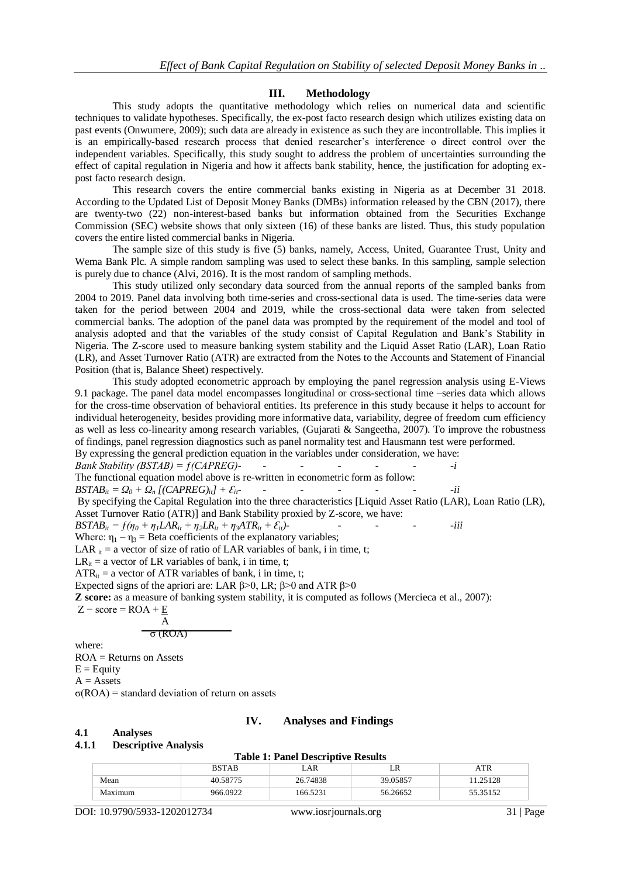#### **III. Methodology**

This study adopts the quantitative methodology which relies on numerical data and scientific techniques to validate hypotheses. Specifically, the ex-post facto research design which utilizes existing data on past events (Onwumere, 2009); such data are already in existence as such they are incontrollable. This implies it is an empirically-based research process that denied researcher's interference o direct control over the independent variables. Specifically, this study sought to address the problem of uncertainties surrounding the effect of capital regulation in Nigeria and how it affects bank stability, hence, the justification for adopting expost facto research design.

This research covers the entire commercial banks existing in Nigeria as at December 31 2018. According to the Updated List of Deposit Money Banks (DMBs) information released by the CBN (2017), there are twenty-two (22) non-interest-based banks but information obtained from the Securities Exchange Commission (SEC) website shows that only sixteen (16) of these banks are listed. Thus, this study population covers the entire listed commercial banks in Nigeria.

The sample size of this study is five (5) banks, namely, Access, United, Guarantee Trust, Unity and Wema Bank Plc. A simple random sampling was used to select these banks. In this sampling, sample selection is purely due to chance (Alvi, 2016). It is the most random of sampling methods.

This study utilized only secondary data sourced from the annual reports of the sampled banks from 2004 to 2019. Panel data involving both time-series and cross-sectional data is used. The time-series data were taken for the period between 2004 and 2019, while the cross-sectional data were taken from selected commercial banks. The adoption of the panel data was prompted by the requirement of the model and tool of analysis adopted and that the variables of the study consist of Capital Regulation and Bank's Stability in Nigeria. The Z-score used to measure banking system stability and the Liquid Asset Ratio (LAR), Loan Ratio (LR), and Asset Turnover Ratio (ATR) are extracted from the Notes to the Accounts and Statement of Financial Position (that is, Balance Sheet) respectively.

This study adopted econometric approach by employing the panel regression analysis using E-Views 9.1 package. The panel data model encompasses longitudinal or cross-sectional time –series data which allows for the cross-time observation of behavioral entities. Its preference in this study because it helps to account for individual heterogeneity, besides providing more informative data, variability, degree of freedom cum efficiency as well as less co-linearity among research variables, (Gujarati & Sangeetha, 2007). To improve the robustness of findings, panel regression diagnostics such as panel normality test and Hausmann test were performed. By expressing the general prediction equation in the variables under consideration, we have:

*Bank Stability (BSTAB) = ƒ(CAPREG)- - - - - - -i*

The functional equation model above is re-written in econometric form as follow:

 $BSTAB_{it} = Q_0 + Q_n [(\text{CAPREG})_{it}] + \mathcal{E}_{it}$  *- - - - -ii -ii* 

By specifying the Capital Regulation into the three characteristics [Liquid Asset Ratio (LAR), Loan Ratio (LR), Asset Turnover Ratio (ATR)] and Bank Stability proxied by Z-score, we have:

 $BSTAB_i = f(\eta_0 + \eta_1 LAR_{i} + \eta_2 LR_{i} + \eta_3 ATR_{i} + \varepsilon_{i} t$ 

Where:  $\eta_1 - \eta_3$  = Beta coefficients of the explanatory variables;

LAR  $_{it}$  = a vector of size of ratio of LAR variables of bank, i in time, t;

 $LR_{it}$  = a vector of LR variables of bank, i in time, t;

 $ATR_{it}$  = a vector of ATR variables of bank, i in time, t;

Expected signs of the apriori are: LAR  $\beta$ >0, LR;  $\beta$ >0 and ATR  $\beta$ >0

**Z score:** as a measure of banking system stability, it is computed as follows (Mercieca et al., 2007):

 $Z$  – score = ROA +  $\underline{E}$ 

$$
\frac{A}{\sigma\left(\text{ROA}\right)}
$$

where:

ROA = Returns on Assets  $E =$ Equity

 $A =$ Assets

σ(ROA) = standard deviation of return on assets

#### **IV. Analyses and Findings**

#### **4.1 Analyses 4.1.1 Descriptive Analysis**

#### **Table 1: Panel Descriptive Results**

|         | <b>BSTAB</b> | LAR      | LK       |          |
|---------|--------------|----------|----------|----------|
| Mean    | 40.58775     | 26.74838 | 39.05857 | 1.25128  |
| Maximum | 966.0922     | 166.5231 | 56.26652 | 55.35152 |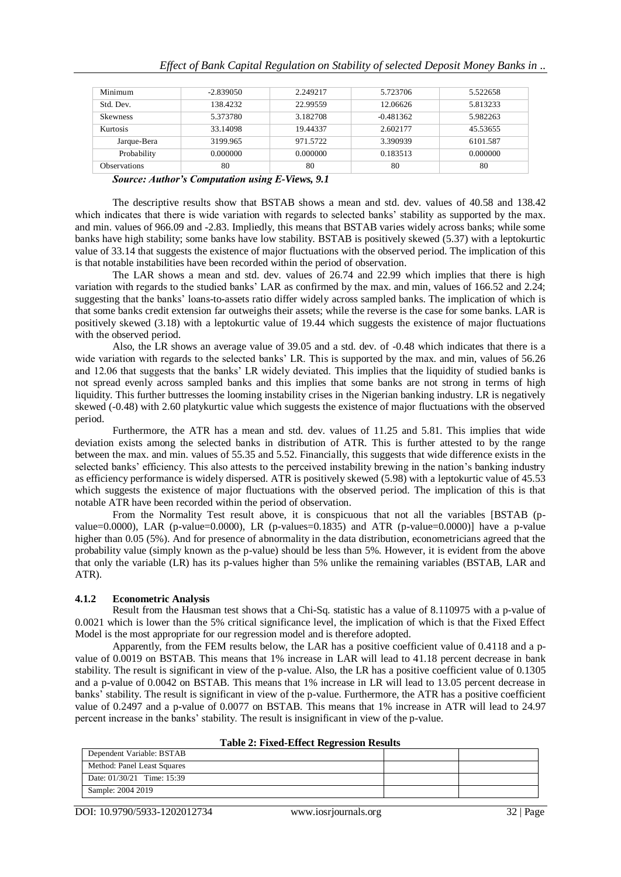| Minimum             | $-2.839050$ | 2.249217 | 5.723706    | 5.522658 |
|---------------------|-------------|----------|-------------|----------|
| Std. Dev.           | 138.4232    | 22.99559 | 12.06626    | 5.813233 |
| <b>Skewness</b>     | 5.373780    | 3.182708 | $-0.481362$ | 5.982263 |
| Kurtosis            | 33.14098    | 19.44337 | 2.602177    | 45.53655 |
| Jarque-Bera         | 3199.965    | 971.5722 | 3.390939    | 6101.587 |
| Probability         | 0.000000    | 0.000000 | 0.183513    | 0.000000 |
| <b>Observations</b> | 80          | 80       | 80          | 80       |

*Source: Author's Computation using E-Views, 9.1*

The descriptive results show that BSTAB shows a mean and std. dev. values of 40.58 and 138.42 which indicates that there is wide variation with regards to selected banks' stability as supported by the max. and min. values of 966.09 and -2.83. Impliedly, this means that BSTAB varies widely across banks; while some banks have high stability; some banks have low stability. BSTAB is positively skewed (5.37) with a leptokurtic value of 33.14 that suggests the existence of major fluctuations with the observed period. The implication of this is that notable instabilities have been recorded within the period of observation.

The LAR shows a mean and std. dev. values of 26.74 and 22.99 which implies that there is high variation with regards to the studied banks' LAR as confirmed by the max. and min, values of 166.52 and 2.24; suggesting that the banks' loans-to-assets ratio differ widely across sampled banks. The implication of which is that some banks credit extension far outweighs their assets; while the reverse is the case for some banks. LAR is positively skewed (3.18) with a leptokurtic value of 19.44 which suggests the existence of major fluctuations with the observed period.

Also, the LR shows an average value of 39.05 and a std. dev. of -0.48 which indicates that there is a wide variation with regards to the selected banks' LR. This is supported by the max. and min, values of 56.26 and 12.06 that suggests that the banks' LR widely deviated. This implies that the liquidity of studied banks is not spread evenly across sampled banks and this implies that some banks are not strong in terms of high liquidity. This further buttresses the looming instability crises in the Nigerian banking industry. LR is negatively skewed (-0.48) with 2.60 platykurtic value which suggests the existence of major fluctuations with the observed period.

Furthermore, the ATR has a mean and std. dev. values of 11.25 and 5.81. This implies that wide deviation exists among the selected banks in distribution of ATR. This is further attested to by the range between the max. and min. values of 55.35 and 5.52. Financially, this suggests that wide difference exists in the selected banks' efficiency. This also attests to the perceived instability brewing in the nation's banking industry as efficiency performance is widely dispersed. ATR is positively skewed (5.98) with a leptokurtic value of 45.53 which suggests the existence of major fluctuations with the observed period. The implication of this is that notable ATR have been recorded within the period of observation.

From the Normality Test result above, it is conspicuous that not all the variables [BSTAB (pvalue=0.0000), LAR (p-value=0.0000), LR (p-values=0.1835) and ATR (p-value=0.0000)] have a p-value higher than 0.05 (5%). And for presence of abnormality in the data distribution, econometricians agreed that the probability value (simply known as the p-value) should be less than 5%. However, it is evident from the above that only the variable (LR) has its p-values higher than 5% unlike the remaining variables (BSTAB, LAR and ATR).

## **4.1.2 Econometric Analysis**

Result from the Hausman test shows that a Chi-Sq. statistic has a value of 8.110975 with a p-value of 0.0021 which is lower than the 5% critical significance level, the implication of which is that the Fixed Effect Model is the most appropriate for our regression model and is therefore adopted.

Apparently, from the FEM results below, the LAR has a positive coefficient value of 0.4118 and a pvalue of 0.0019 on BSTAB. This means that 1% increase in LAR will lead to 41.18 percent decrease in bank stability. The result is significant in view of the p-value. Also, the LR has a positive coefficient value of 0.1305 and a p-value of 0.0042 on BSTAB. This means that 1% increase in LR will lead to 13.05 percent decrease in banks' stability. The result is significant in view of the p-value. Furthermore, the ATR has a positive coefficient value of 0.2497 and a p-value of 0.0077 on BSTAB. This means that 1% increase in ATR will lead to 24.97 percent increase in the banks' stability. The result is insignificant in view of the p-value.

| <b>Table 2: FIXEG-EITECT REGLESSION RESULTS</b> |  |  |  |
|-------------------------------------------------|--|--|--|
| Dependent Variable: BSTAB                       |  |  |  |
| Method: Panel Least Squares                     |  |  |  |
| Date: $01/30/21$ Time: 15:39                    |  |  |  |
| Sample: 2004 2019                               |  |  |  |

| <b>Table 2: Fixed-Effect Regression Results</b> |  |
|-------------------------------------------------|--|
|-------------------------------------------------|--|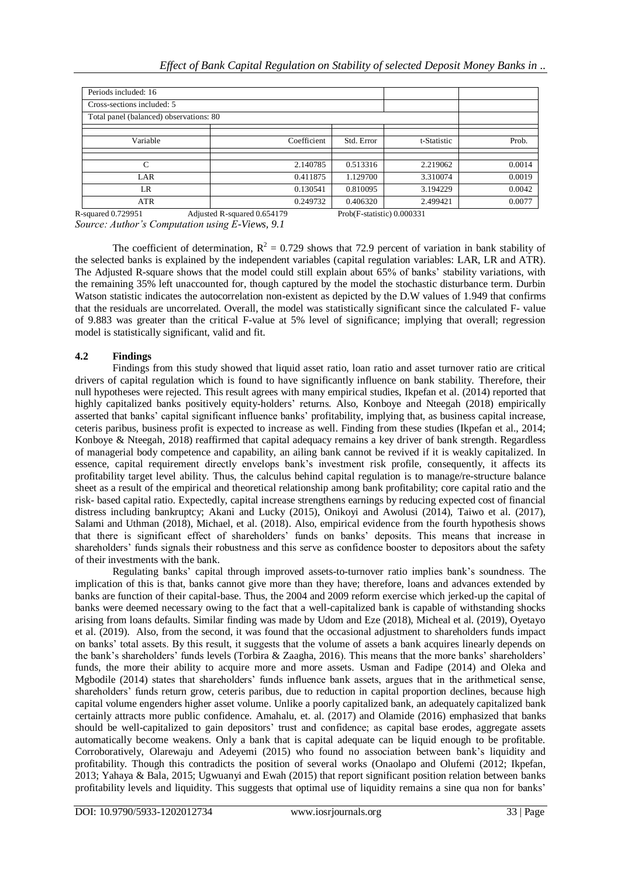| Periods included: 16                    |             |            |             |        |
|-----------------------------------------|-------------|------------|-------------|--------|
| Cross-sections included: 5              |             |            |             |        |
| Total panel (balanced) observations: 80 |             |            |             |        |
|                                         |             |            |             |        |
| Variable                                | Coefficient | Std. Error | t-Statistic | Prob.  |
|                                         |             |            |             |        |
| C                                       | 2.140785    | 0.513316   | 2.219062    | 0.0014 |
| LAR                                     | 0.411875    | 1.129700   | 3.310074    | 0.0019 |
| LR                                      | 0.130541    | 0.810095   | 3.194229    | 0.0042 |
| <b>ATR</b>                              | 0.249732    | 0.406320   | 2.499421    | 0.0077 |

R-squared 0.729951 Adjusted R-squared 0.654179 Prob(F-statistic) 0.000331 *Source: Author's Computation using E-Views, 9.1*

The coefficient of determination,  $R^2 = 0.729$  shows that 72.9 percent of variation in bank stability of the selected banks is explained by the independent variables (capital regulation variables: LAR, LR and ATR). The Adjusted R-square shows that the model could still explain about 65% of banks' stability variations, with the remaining 35% left unaccounted for, though captured by the model the stochastic disturbance term. Durbin Watson statistic indicates the autocorrelation non-existent as depicted by the D.W values of 1.949 that confirms that the residuals are uncorrelated. Overall, the model was statistically significant since the calculated F- value of 9.883 was greater than the critical F-value at 5% level of significance; implying that overall; regression model is statistically significant, valid and fit.

# **4.2 Findings**

Findings from this study showed that liquid asset ratio, loan ratio and asset turnover ratio are critical drivers of capital regulation which is found to have significantly influence on bank stability. Therefore, their null hypotheses were rejected. This result agrees with many empirical studies, Ikpefan et al. (2014) reported that highly capitalized banks positively equity-holders' returns. Also, Konboye and Nteegah (2018) empirically asserted that banks' capital significant influence banks' profitability, implying that, as business capital increase, ceteris paribus, business profit is expected to increase as well. Finding from these studies (Ikpefan et al., 2014; Konboye & Nteegah, 2018) reaffirmed that capital adequacy remains a key driver of bank strength. Regardless of managerial body competence and capability, an ailing bank cannot be revived if it is weakly capitalized. In essence, capital requirement directly envelops bank's investment risk profile, consequently, it affects its profitability target level ability. Thus, the calculus behind capital regulation is to manage/re-structure balance sheet as a result of the empirical and theoretical relationship among bank profitability; core capital ratio and the risk- based capital ratio. Expectedly, capital increase strengthens earnings by reducing expected cost of financial distress including bankruptcy; Akani and Lucky (2015), Onikoyi and Awolusi (2014), Taiwo et al. (2017), Salami and Uthman (2018), Michael, et al. (2018). Also, empirical evidence from the fourth hypothesis shows that there is significant effect of shareholders' funds on banks' deposits. This means that increase in shareholders' funds signals their robustness and this serve as confidence booster to depositors about the safety of their investments with the bank.

Regulating banks' capital through improved assets-to-turnover ratio implies bank's soundness. The implication of this is that, banks cannot give more than they have; therefore, loans and advances extended by banks are function of their capital-base. Thus, the 2004 and 2009 reform exercise which jerked-up the capital of banks were deemed necessary owing to the fact that a well-capitalized bank is capable of withstanding shocks arising from loans defaults. Similar finding was made by Udom and Eze (2018), Micheal et al. (2019), Oyetayo et al. (2019). Also, from the second, it was found that the occasional adjustment to shareholders funds impact on banks' total assets. By this result, it suggests that the volume of assets a bank acquires linearly depends on the bank's shareholders' funds levels (Torbira & Zaagha, 2016). This means that the more banks' shareholders' funds, the more their ability to acquire more and more assets. Usman and Fadipe (2014) and Oleka and Mgbodile (2014) states that shareholders' funds influence bank assets, argues that in the arithmetical sense, shareholders' funds return grow, ceteris paribus, due to reduction in capital proportion declines, because high capital volume engenders higher asset volume. Unlike a poorly capitalized bank, an adequately capitalized bank certainly attracts more public confidence. Amahalu, et. al. (2017) and Olamide (2016) emphasized that banks should be well-capitalized to gain depositors' trust and confidence; as capital base erodes, aggregate assets automatically become weakens. Only a bank that is capital adequate can be liquid enough to be profitable. Corroboratively, Olarewaju and Adeyemi (2015) who found no association between bank's liquidity and profitability. Though this contradicts the position of several works (Onaolapo and Olufemi (2012; Ikpefan, 2013; Yahaya & Bala, 2015; Ugwuanyi and Ewah (2015) that report significant position relation between banks profitability levels and liquidity. This suggests that optimal use of liquidity remains a sine qua non for banks'